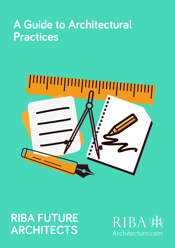# A Guide to Architectural **Practices**



## RIBA FUTURE ARCHITECTS

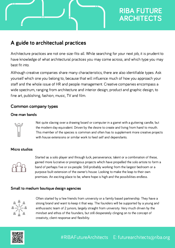### RIBA FUTURE ARCHITECTS

### A guide to architectual practices

Architecture practices are not one-size-fits-all. While searching for your next job, it is prudent to have knowledge of what architectural practices you may come across, and which type you may best fit into.

Although creative companies share many characteristics, there are also identifiable types. Ask yourself which one you belong to, because that will influence much of how you approach your staff and the whole issue of HR and people management. Creative companies encompass a wide spectrum, ranging from architecture and interior design, product and graphic design, to fine art, publishing, fashion, music, TV and film.

#### Common company types

#### One man bands



Not quite slaving over a drawing board or computer in a garret with a guttering candle, but the modern day equivalent. Driven by the desire to create and living from hand to mouth. This member of the species is common and often has to supplement more creative projects with house extensions or similar work to feed self and dependants.

#### Micro studios



Started as a solo player and through luck, perseverance, talent or a combination of these, gained more lucrative or prestigious projects which have propelled the solo artiste to form a band of perhaps five or six people. Still probably working from the largest bedroom or a purpose-built extension of the owner's house. Looking to make the leap to their own premises. An exciting place to be, where hope is high and the possibilities endless.

#### Small to medium boutique design agencies



Often started by a few friends from university or a family based partnership. They have a strong brand and want to keep it that way. The founders will be supported by a young and enthusiastic team of 2 juniors, largely straight from university. Very much driven by the mindset and ethos of the founders, but still desperately clinging on to the concept of creativity, client response and flexibility.

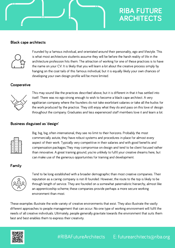### RIBA FUTURE ARCHITECTS

#### Black cape architects



Founded by a famous individual, and orientated around their personality, ego and lifestyle. This is what most architecture students assume they will be before the harsh reality of life in the architecture profession hits them. The attraction of working for one of these practices is to have the name on your CV. It is likely that you will learn a lot about the creative process simply by hanging on the coat tails of this famous individual, but it is equally likely your own chances of developing your own design profile will be more limited.

#### **Cooperative**



This may sound like the practices described above, but it is different in that it has settled into itself. There was no ego strong enough to wish to become a black cape architect. A very egalitarian company where the founders do not take exorbitant salaries or take all the kudos for the work produced by the practice. They still enjoy what they do and pass on this love of design throughout the company. Graduates and less experienced staff members love it and learn a lot.

#### Business disguised as 'design'



Big, big, big, often international, they see no limit to their horizons. Probably the most commercially astute, they have robust systems and procedures in place for almost every aspect of their work. Typically very competitive in their salaries and with good benefits and compensation packages.They may compromise on design and tend to be client focused rather than innovative. A great training ground, you're unlikely to fulfil your creative dreams here, but can make use of the generous opportunities for training and development.

#### Family



Tend to be long established with a broader demographic than most creative companies. Their reputation as a caring company is not ill founded. However, the route to the top is likely to be through length of service. They are founded on a somewhat paternalistic hierarchy, almost like an apprenticeship scheme; these companies provide perhaps a more secure working environment than most.

These examples illustrate the wide variety of creative environments that exist. They also illustrate the vastly different approaches to people management that can occur. No one type of working environment will fulfil the needs of all creative individuals. Ultimately, people generally gravitate towards the environment that suits them best and best enables them to express their creativity.